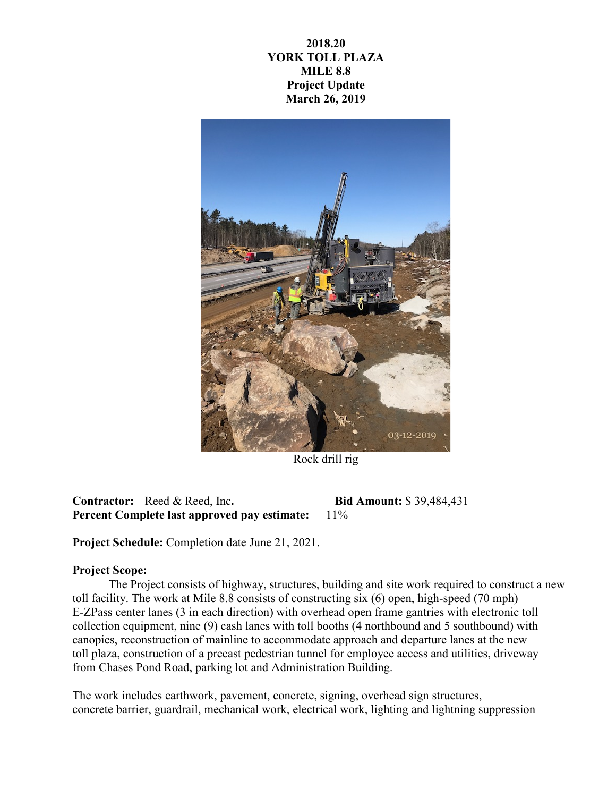## **2018.20 YORK TOLL PLAZA MILE 8.8 Project Update March 26, 2019**



Rock drill rig

**Contractor:** Reed & Reed, Inc**. Bid Amount:** \$ 39,484,431 **Percent Complete last approved pay estimate:** 11%

**Project Schedule:** Completion date June 21, 2021.

## **Project Scope:**

The Project consists of highway, structures, building and site work required to construct a new toll facility. The work at Mile 8.8 consists of constructing six (6) open, high-speed (70 mph) E-ZPass center lanes (3 in each direction) with overhead open frame gantries with electronic toll collection equipment, nine (9) cash lanes with toll booths (4 northbound and 5 southbound) with canopies, reconstruction of mainline to accommodate approach and departure lanes at the new toll plaza, construction of a precast pedestrian tunnel for employee access and utilities, driveway from Chases Pond Road, parking lot and Administration Building.

The work includes earthwork, pavement, concrete, signing, overhead sign structures, concrete barrier, guardrail, mechanical work, electrical work, lighting and lightning suppression